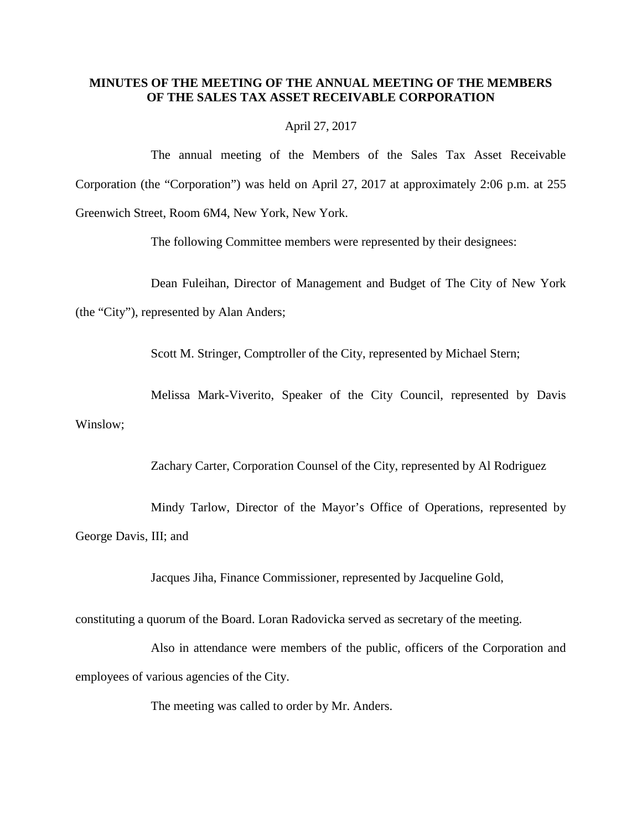# **MINUTES OF THE MEETING OF THE ANNUAL MEETING OF THE MEMBERS OF THE SALES TAX ASSET RECEIVABLE CORPORATION**

#### April 27, 2017

The annual meeting of the Members of the Sales Tax Asset Receivable Corporation (the "Corporation") was held on April 27, 2017 at approximately 2:06 p.m. at 255 Greenwich Street, Room 6M4, New York, New York.

The following Committee members were represented by their designees:

Dean Fuleihan, Director of Management and Budget of The City of New York

(the "City"), represented by Alan Anders;

Scott M. Stringer, Comptroller of the City, represented by Michael Stern;

Melissa Mark-Viverito, Speaker of the City Council, represented by Davis Winslow;

Zachary Carter, Corporation Counsel of the City, represented by Al Rodriguez

Mindy Tarlow, Director of the Mayor's Office of Operations, represented by George Davis, III; and

Jacques Jiha, Finance Commissioner, represented by Jacqueline Gold,

constituting a quorum of the Board. Loran Radovicka served as secretary of the meeting.

Also in attendance were members of the public, officers of the Corporation and employees of various agencies of the City.

The meeting was called to order by Mr. Anders.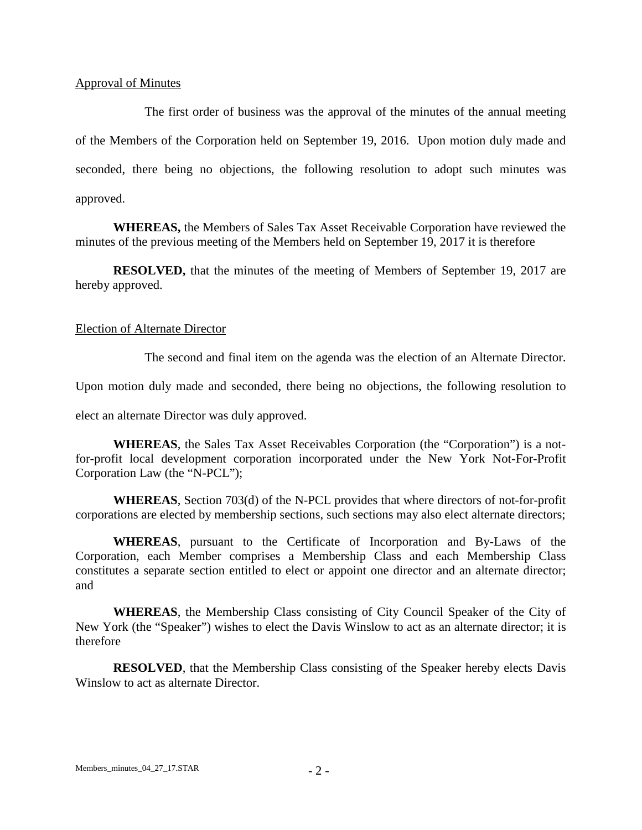### Approval of Minutes

 The first order of business was the approval of the minutes of the annual meeting of the Members of the Corporation held on September 19, 2016. Upon motion duly made and seconded, there being no objections, the following resolution to adopt such minutes was approved.

**WHEREAS,** the Members of Sales Tax Asset Receivable Corporation have reviewed the minutes of the previous meeting of the Members held on September 19, 2017 it is therefore

**RESOLVED,** that the minutes of the meeting of Members of September 19, 2017 are hereby approved.

# Election of Alternate Director

The second and final item on the agenda was the election of an Alternate Director.

Upon motion duly made and seconded, there being no objections, the following resolution to

elect an alternate Director was duly approved.

**WHEREAS**, the Sales Tax Asset Receivables Corporation (the "Corporation") is a notfor-profit local development corporation incorporated under the New York Not-For-Profit Corporation Law (the "N-PCL");

**WHEREAS**, Section 703(d) of the N-PCL provides that where directors of not-for-profit corporations are elected by membership sections, such sections may also elect alternate directors;

**WHEREAS**, pursuant to the Certificate of Incorporation and By-Laws of the Corporation, each Member comprises a Membership Class and each Membership Class constitutes a separate section entitled to elect or appoint one director and an alternate director; and

**WHEREAS**, the Membership Class consisting of City Council Speaker of the City of New York (the "Speaker") wishes to elect the Davis Winslow to act as an alternate director; it is therefore

**RESOLVED**, that the Membership Class consisting of the Speaker hereby elects Davis Winslow to act as alternate Director.